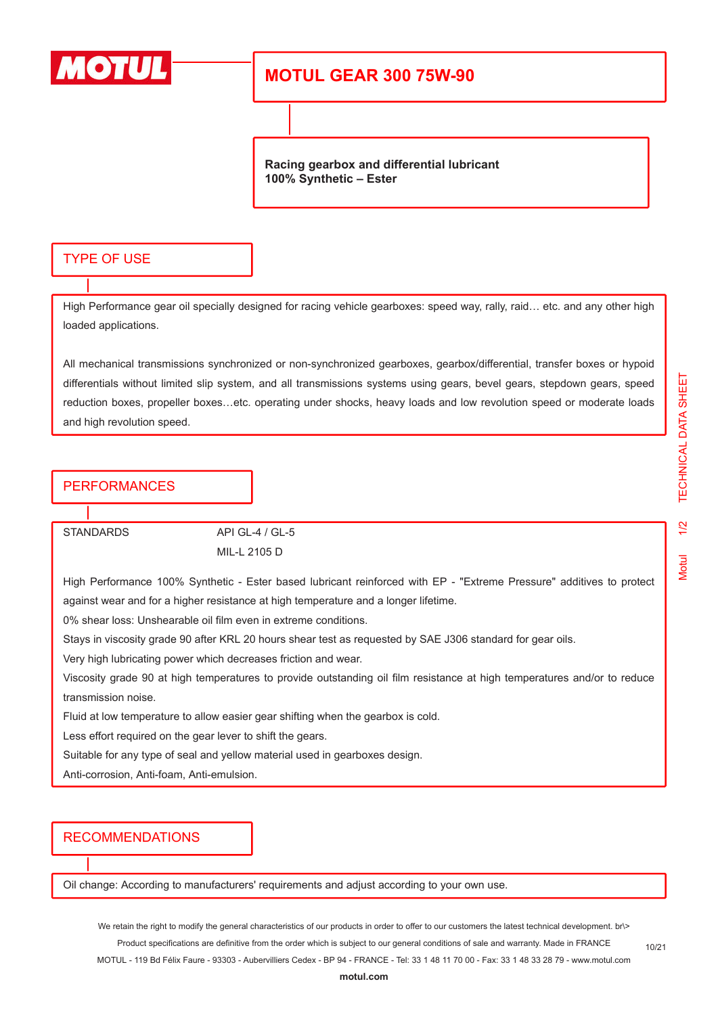

## **MOTUL GEAR 300 75W-90**

**Racing gearbox and differential lubricant 100% Synthetic – Ester**

#### TYPE OF USE

High Performance gear oil specially designed for racing vehicle gearboxes: speed way, rally, raid… etc. and any other high loaded applications.

All mechanical transmissions synchronized or non-synchronized gearboxes, gearbox/differential, transfer boxes or hypoid differentials without limited slip system, and all transmissions systems using gears, bevel gears, stepdown gears, speed reduction boxes, propeller boxes…etc. operating under shocks, heavy loads and low revolution speed or moderate loads and high revolution speed.

### **PERFORMANCES**

STANDARDS API GL-4 / GL-5 MIL-L 2105 D

High Performance 100% Synthetic - Ester based lubricant reinforced with EP - "Extreme Pressure" additives to protect against wear and for a higher resistance at high temperature and a longer lifetime.

0% shear loss: Unshearable oil film even in extreme conditions.

Stays in viscosity grade 90 after KRL 20 hours shear test as requested by SAE J306 standard for gear oils.

Very high lubricating power which decreases friction and wear.

Viscosity grade 90 at high temperatures to provide outstanding oil film resistance at high temperatures and/or to reduce transmission noise.

Fluid at low temperature to allow easier gear shifting when the gearbox is cold.

Less effort required on the gear lever to shift the gears.

Suitable for any type of seal and yellow material used in gearboxes design.

Anti-corrosion, Anti-foam, Anti-emulsion.

#### RECOMMENDATIONS

Oil change: According to manufacturers' requirements and adjust according to your own use.

We retain the right to modify the general characteristics of our products in order to offer to our customers the latest technical development. br\> Product specifications are definitive from the order which is subject to our general conditions of sale and warranty. Made in FRANCE

MOTUL - 119 Bd Félix Faure - 93303 - Aubervilliers Cedex - BP 94 - FRANCE - Tel: 33 1 48 11 70 00 - Fax: 33 1 48 33 28 79 - www.motul.com

Vlotul

10/21